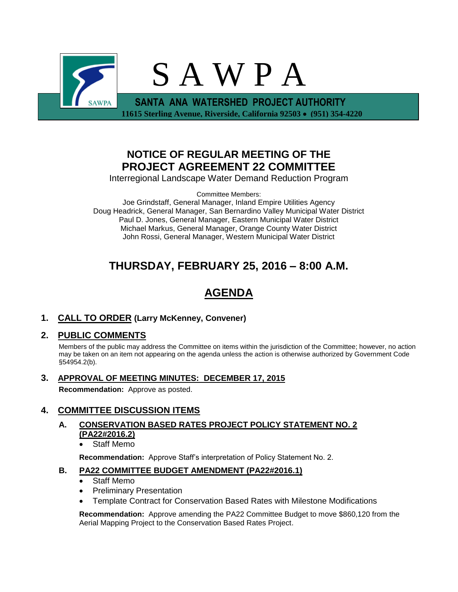

## **NOTICE OF REGULAR MEETING OF THE PROJECT AGREEMENT 22 COMMITTEE**

Interregional Landscape Water Demand Reduction Program

Committee Members:

Joe Grindstaff, General Manager, Inland Empire Utilities Agency Doug Headrick, General Manager, San Bernardino Valley Municipal Water District Paul D. Jones, General Manager, Eastern Municipal Water District Michael Markus, General Manager, Orange County Water District John Rossi, General Manager, Western Municipal Water District

## **THURSDAY, FEBRUARY 25, 2016 – 8:00 A.M.**

# **AGENDA**

### **1. CALL TO ORDER (Larry McKenney, Convener)**

### **2. PUBLIC COMMENTS**

Members of the public may address the Committee on items within the jurisdiction of the Committee; however, no action may be taken on an item not appearing on the agenda unless the action is otherwise authorized by Government Code §54954.2(b).

**3. APPROVAL OF MEETING MINUTES: DECEMBER 17, 2015 Recommendation:** Approve as posted.

### **4. COMMITTEE DISCUSSION ITEMS**

- **A. CONSERVATION BASED RATES PROJECT POLICY STATEMENT NO. 2 (PA22#2016.2)**
	- Staff Memo

**Recommendation:** Approve Staff's interpretation of Policy Statement No. 2.

### **B. PA22 COMMITTEE BUDGET AMENDMENT (PA22#2016.1)**

- Staff Memo
- Preliminary Presentation
- Template Contract for Conservation Based Rates with Milestone Modifications

**Recommendation:** Approve amending the PA22 Committee Budget to move \$860,120 from the Aerial Mapping Project to the Conservation Based Rates Project.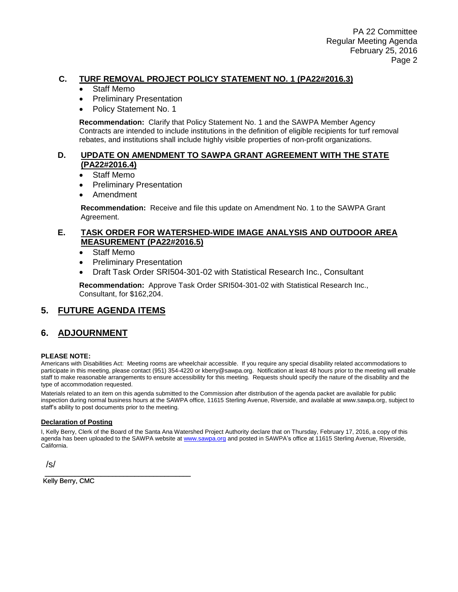### **C. TURF REMOVAL PROJECT POLICY STATEMENT NO. 1 (PA22#2016.3)**

- Staff Memo
- Preliminary Presentation
- Policy Statement No. 1

**Recommendation:** Clarify that Policy Statement No. 1 and the SAWPA Member Agency Contracts are intended to include institutions in the definition of eligible recipients for turf removal rebates, and institutions shall include highly visible properties of non-profit organizations.

#### **D. UPDATE ON AMENDMENT TO SAWPA GRANT AGREEMENT WITH THE STATE (PA22#2016.4)**

- Staff Memo
- Preliminary Presentation
- Amendment

**Recommendation:** Receive and file this update on Amendment No. 1 to the SAWPA Grant Agreement.

#### **E. TASK ORDER FOR WATERSHED-WIDE IMAGE ANALYSIS AND OUTDOOR AREA MEASUREMENT (PA22#2016.5)**

- Staff Memo
- Preliminary Presentation
- Draft Task Order SRI504-301-02 with Statistical Research Inc., Consultant

**Recommendation:** Approve Task Order SRI504-301-02 with Statistical Research Inc., Consultant, for \$162,204.

### **5. FUTURE AGENDA ITEMS**

\_\_\_\_\_\_\_\_\_\_\_\_\_\_\_\_\_\_\_\_\_\_\_\_\_\_\_\_\_\_\_\_\_\_\_\_\_\_\_

### **6. ADJOURNMENT**

#### **PLEASE NOTE:**

Americans with Disabilities Act: Meeting rooms are wheelchair accessible. If you require any special disability related accommodations to participate in this meeting, please contact (951) 354-4220 or kberry@sawpa.org. Notification at least 48 hours prior to the meeting will enable staff to make reasonable arrangements to ensure accessibility for this meeting. Requests should specify the nature of the disability and the type of accommodation requested.

Materials related to an item on this agenda submitted to the Commission after distribution of the agenda packet are available for public inspection during normal business hours at the SAWPA office, 11615 Sterling Avenue, Riverside, and available at www.sawpa.org, subject to staff's ability to post documents prior to the meeting.

#### **Declaration of Posting**

I, Kelly Berry, Clerk of the Board of the Santa Ana Watershed Project Authority declare that on Thursday, February 17, 2016, a copy of this agenda has been uploaded to the SAWPA website a[t www.sawpa.org](http://www.sawpa.org/) and posted in SAWPA's office at 11615 Sterling Avenue, Riverside, California.

/s/

Kelly Berry, CMC